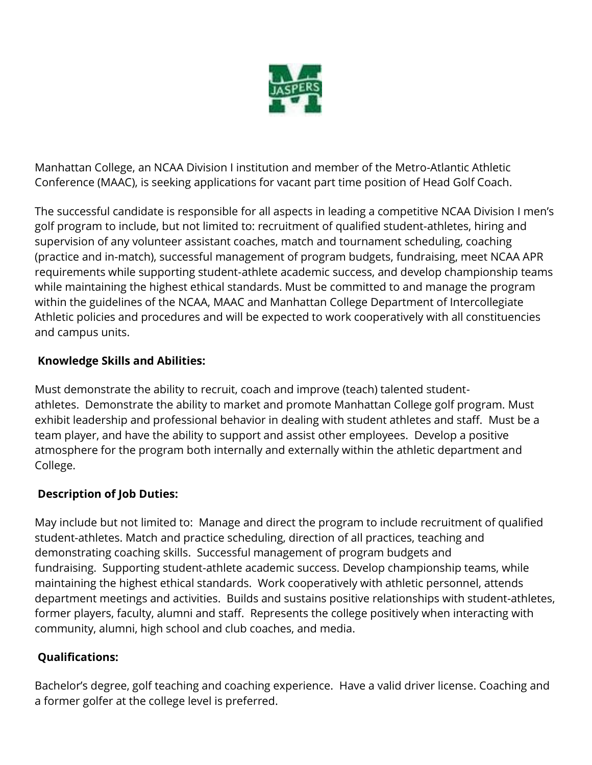

Manhattan College, an NCAA Division I institution and member of the Metro-Atlantic Athletic Conference (MAAC), is seeking applications for vacant part time position of Head Golf Coach.

The successful candidate is responsible for all aspects in leading a competitive NCAA Division I men's golf program to include, but not limited to: recruitment of qualified student-athletes, hiring and supervision of any volunteer assistant coaches, match and tournament scheduling, coaching (practice and in-match), successful management of program budgets, fundraising, meet NCAA APR requirements while supporting student-athlete academic success, and develop championship teams while maintaining the highest ethical standards. Must be committed to and manage the program within the guidelines of the NCAA, MAAC and Manhattan College Department of Intercollegiate Athletic policies and procedures and will be expected to work cooperatively with all constituencies and campus units.

## **Knowledge Skills and Abilities:**

Must demonstrate the ability to recruit, coach and improve (teach) talented studentathletes. Demonstrate the ability to market and promote Manhattan College golf program. Must exhibit leadership and professional behavior in dealing with student athletes and staff. Must be a team player, and have the ability to support and assist other employees. Develop a positive atmosphere for the program both internally and externally within the athletic department and College.

## **Description of Job Duties:**

May include but not limited to: Manage and direct the program to include recruitment of qualified student-athletes. Match and practice scheduling, direction of all practices, teaching and demonstrating coaching skills. Successful management of program budgets and fundraising. Supporting student-athlete academic success. Develop championship teams, while maintaining the highest ethical standards. Work cooperatively with athletic personnel, attends department meetings and activities. Builds and sustains positive relationships with student-athletes, former players, faculty, alumni and staff. Represents the college positively when interacting with community, alumni, high school and club coaches, and media.

## **Qualifications:**

Bachelor's degree, golf teaching and coaching experience. Have a valid driver license. Coaching and a former golfer at the college level is preferred.